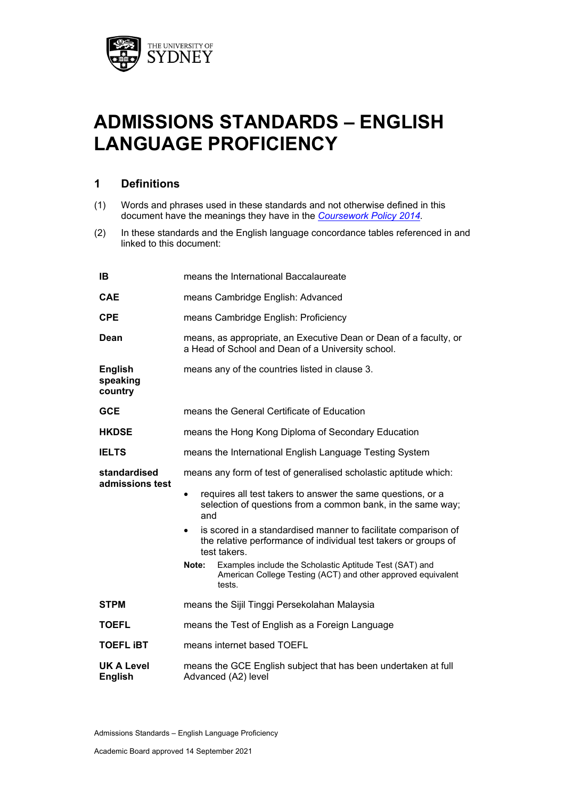

# **ADMISSIONS STANDARDS – ENGLISH LANGUAGE PROFICIENCY**

# **1 Definitions**

- (1) Words and phrases used in these standards and not otherwise defined in this document have the meanings they have in the *[Coursework Policy 2014.](http://sydney.edu.au/policies/showdoc.aspx?recnum=PDOC2014/378&RendNum=0)*
- (2) In these standards and the English language concordance tables referenced in and linked to this document:

| IB                                    | means the International Baccalaureate                                                                                                                          |  |
|---------------------------------------|----------------------------------------------------------------------------------------------------------------------------------------------------------------|--|
| <b>CAE</b>                            | means Cambridge English: Advanced                                                                                                                              |  |
| <b>CPE</b>                            | means Cambridge English: Proficiency                                                                                                                           |  |
| Dean                                  | means, as appropriate, an Executive Dean or Dean of a faculty, or<br>a Head of School and Dean of a University school.                                         |  |
| <b>English</b><br>speaking<br>country | means any of the countries listed in clause 3.                                                                                                                 |  |
| <b>GCE</b>                            | means the General Certificate of Education                                                                                                                     |  |
| <b>HKDSE</b>                          | means the Hong Kong Diploma of Secondary Education                                                                                                             |  |
| <b>IELTS</b>                          | means the International English Language Testing System                                                                                                        |  |
| standardised<br>admissions test       | means any form of test of generalised scholastic aptitude which:                                                                                               |  |
|                                       | requires all test takers to answer the same questions, or a<br>$\bullet$<br>selection of questions from a common bank, in the same way;<br>and                 |  |
|                                       | is scored in a standardised manner to facilitate comparison of<br>$\bullet$<br>the relative performance of individual test takers or groups of<br>test takers. |  |
|                                       | Examples include the Scholastic Aptitude Test (SAT) and<br>Note:<br>American College Testing (ACT) and other approved equivalent<br>tests.                     |  |
| <b>STPM</b>                           | means the Sijil Tinggi Persekolahan Malaysia                                                                                                                   |  |
| <b>TOEFL</b>                          | means the Test of English as a Foreign Language                                                                                                                |  |
| <b>TOEFL IBT</b>                      | means internet based TOEFL                                                                                                                                     |  |
| <b>UK A Level</b><br><b>English</b>   | means the GCE English subject that has been undertaken at full<br>Advanced (A2) level                                                                          |  |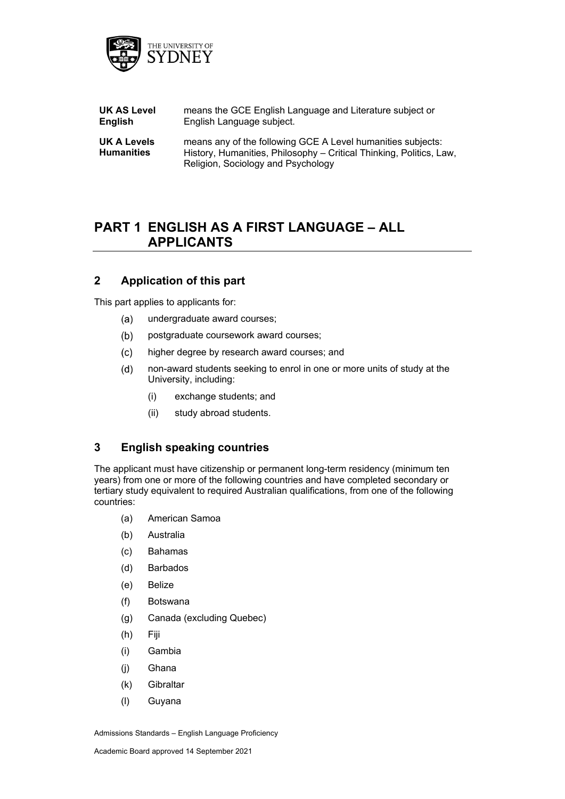

| UK AS Level                             | means the GCE English Language and Literature subject or                                                                                                                 |
|-----------------------------------------|--------------------------------------------------------------------------------------------------------------------------------------------------------------------------|
| English                                 | English Language subject.                                                                                                                                                |
| <b>UK A Levels</b><br><b>Humanities</b> | means any of the following GCE A Level humanities subjects:<br>History, Humanities, Philosophy – Critical Thinking, Politics, Law,<br>Religion, Sociology and Psychology |

# **PART 1 ENGLISH AS A FIRST LANGUAGE – ALL APPLICANTS**

## **2 Application of this part**

This part applies to applicants for:

- $(a)$ undergraduate award courses;
- $(b)$ postgraduate coursework award courses;
- higher degree by research award courses; and  $(c)$
- $(d)$ non-award students seeking to enrol in one or more units of study at the University, including:
	- (i) exchange students; and
	- (ii) study abroad students.

## **3 English speaking countries**

The applicant must have citizenship or permanent long-term residency (minimum ten years) from one or more of the following countries and have completed secondary or tertiary study equivalent to required Australian qualifications, from one of the following countries:

- (a) American Samoa
- (b) Australia
- (c) Bahamas
- (d) Barbados
- (e) Belize
- (f) Botswana
- (g) Canada (excluding Quebec)
- (h) Fiji
- (i) Gambia
- (j) Ghana
- (k) Gibraltar
- (l) Guyana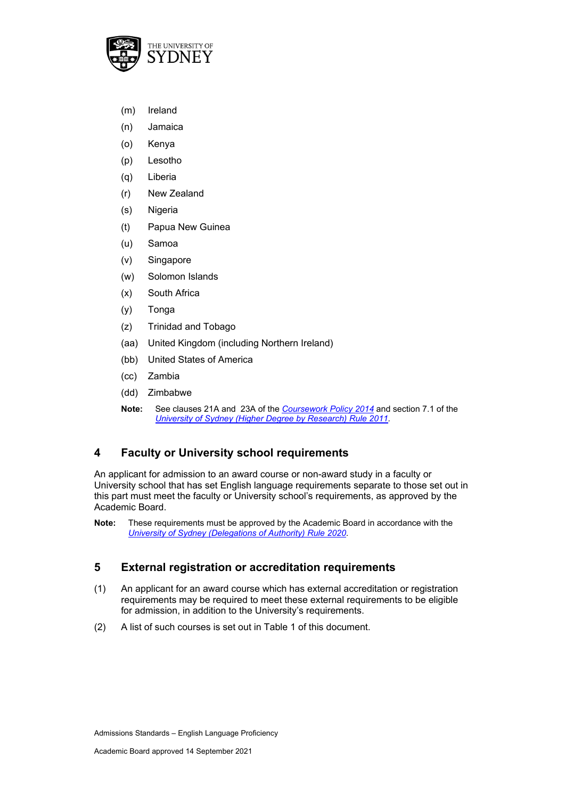

- (m) Ireland
- (n) Jamaica
- (o) Kenya
- (p) Lesotho
- (q) Liberia
- (r) New Zealand
- (s) Nigeria
- (t) Papua New Guinea
- (u) Samoa
- (v) Singapore
- (w) Solomon Islands
- (x) South Africa
- (y) Tonga
- (z) Trinidad and Tobago
- (aa) United Kingdom (including Northern Ireland)
- (bb) United States of America
- (cc) Zambia
- (dd) Zimbabwe
- **Note:** See clauses 21A and 23A of the *[Coursework Policy 2014](https://www.sydney.edu.au/policies/showdoc.aspx?recnum=PDOC2014/378&RendNum=0)* and section 7.1 of the *[University of Sydney \(Higher Degree by Research\) Rule 2011.](https://www.sydney.edu.au/policies/showdoc.aspx?recnum=PDOC2011/226&RendNum=0)*

# **4 Faculty or University school requirements**

An applicant for admission to an award course or non-award study in a faculty or University school that has set English language requirements separate to those set out in this part must meet the faculty or University school's requirements, as approved by the Academic Board.

## **5 External registration or accreditation requirements**

- (1) An applicant for an award course which has external accreditation or registration requirements may be required to meet these external requirements to be eligible for admission, in addition to the University's requirements.
- (2) A list of such courses is set out in Table 1 of this document.

**Note:** These requirements must be approved by the Academic Board in accordance with the *[University of Sydney \(Delegations of Authority\) Rule 2020](http://sydney.edu.au/policies/showdoc.aspx?recnum=PDOC2011/72&RendNum=0)*.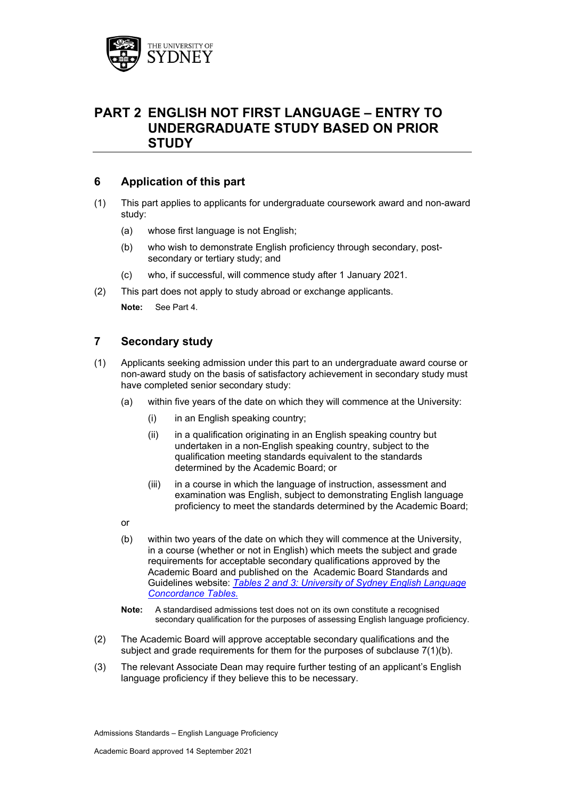

# **PART 2 ENGLISH NOT FIRST LANGUAGE – ENTRY TO UNDERGRADUATE STUDY BASED ON PRIOR STUDY**

## **6 Application of this part**

- (1) This part applies to applicants for undergraduate coursework award and non-award study:
	- (a) whose first language is not English;
	- (b) who wish to demonstrate English proficiency through secondary, postsecondary or tertiary study; and
	- (c) who, if successful, will commence study after 1 January 2021.
- (2) This part does not apply to study abroad or exchange applicants.

**Note:** See Part 4.

## **7 Secondary study**

- (1) Applicants seeking admission under this part to an undergraduate award course or non-award study on the basis of satisfactory achievement in secondary study must have completed senior secondary study:
	- (a) within five years of the date on which they will commence at the University:
		- (i) in an English speaking country;
		- (ii) in a qualification originating in an English speaking country but undertaken in a non-English speaking country, subject to the qualification meeting standards equivalent to the standards determined by the Academic Board; or
		- (iii) in a course in which the language of instruction, assessment and examination was English, subject to demonstrating English language proficiency to meet the standards determined by the Academic Board;
	- or
	- (b) within two years of the date on which they will commence at the University, in a course (whether or not in English) which meets the subject and grade requirements for acceptable secondary qualifications approved by the Academic Board and published on the Academic Board Standards and Guidelines website: *[Tables 2 and 3: University of Sydney English Language](https://www.sydney.edu.au/content/dam/corporate/documents/about-us/governance-and-structure/university-calendar/english-language-concordance-table.pdf)  [Concordance Tables.](https://www.sydney.edu.au/content/dam/corporate/documents/about-us/governance-and-structure/university-calendar/english-language-concordance-table.pdf)*
	- **Note:** A standardised admissions test does not on its own constitute a recognised secondary qualification for the purposes of assessing English language proficiency.
- (2) The Academic Board will approve acceptable secondary qualifications and the subject and grade requirements for them for the purposes of subclause 7(1)(b).
- (3) The relevant Associate Dean may require further testing of an applicant's English language proficiency if they believe this to be necessary.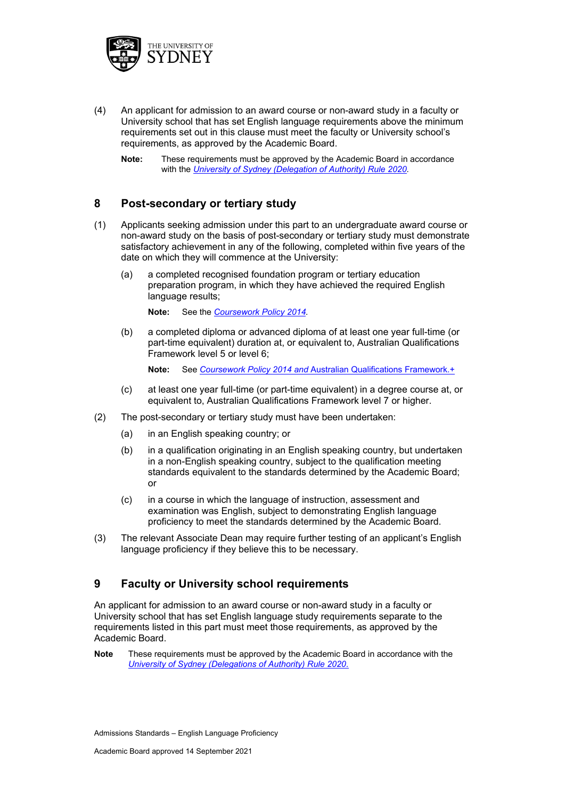

- (4) An applicant for admission to an award course or non-award study in a faculty or University school that has set English language requirements above the minimum requirements set out in this clause must meet the faculty or University school's requirements, as approved by the Academic Board.
	- **Note:** These requirements must be approved by the Academic Board in accordance with the *[University of Sydney \(Delegation of Authority\) Rule 2020.](http://sydney.edu.au/policies/showdoc.aspx?recnum=PDOC2011/72&RendNum=0)*

## **8 Post-secondary or tertiary study**

- (1) Applicants seeking admission under this part to an undergraduate award course or non-award study on the basis of post-secondary or tertiary study must demonstrate satisfactory achievement in any of the following, completed within five years of the date on which they will commence at the University:
	- (a) a completed recognised foundation program or tertiary education preparation program, in which they have achieved the required English language results;

**Note:** See the *[Coursework Policy 2014.](http://sydney.edu.au/policies/showdoc.aspx?recnum=PDOC2014/378&RendNum=0)*

(b) a completed diploma or advanced diploma of at least one year full-time (or part-time equivalent) duration at, or equivalent to, Australian Qualifications Framework level 5 or level 6;

**Note:** See *[Coursework Policy 2014](http://sydney.edu.au/policies/showdoc.aspx?recnum=PDOC2014/378&RendNum=0) and* [Australian Qualifications Framework.](https://www.aqf.edu.au/)+

- (c) at least one year full-time (or part-time equivalent) in a degree course at, or equivalent to, Australian Qualifications Framework level 7 or higher.
- (2) The post-secondary or tertiary study must have been undertaken:
	- (a) in an English speaking country; or
	- (b) in a qualification originating in an English speaking country, but undertaken in a non-English speaking country, subject to the qualification meeting standards equivalent to the standards determined by the Academic Board; or
	- (c) in a course in which the language of instruction, assessment and examination was English, subject to demonstrating English language proficiency to meet the standards determined by the Academic Board.
- (3) The relevant Associate Dean may require further testing of an applicant's English language proficiency if they believe this to be necessary.

## **9 Faculty or University school requirements**

An applicant for admission to an award course or non-award study in a faculty or University school that has set English language study requirements separate to the requirements listed in this part must meet those requirements, as approved by the Academic Board.

**Note** These requirements must be approved by the Academic Board in accordance with the *[University of Sydney \(Delegations of Authority\) Rule 2020](http://sydney.edu.au/policies/showdoc.aspx?recnum=PDOC2011/72&RendNum=0)*.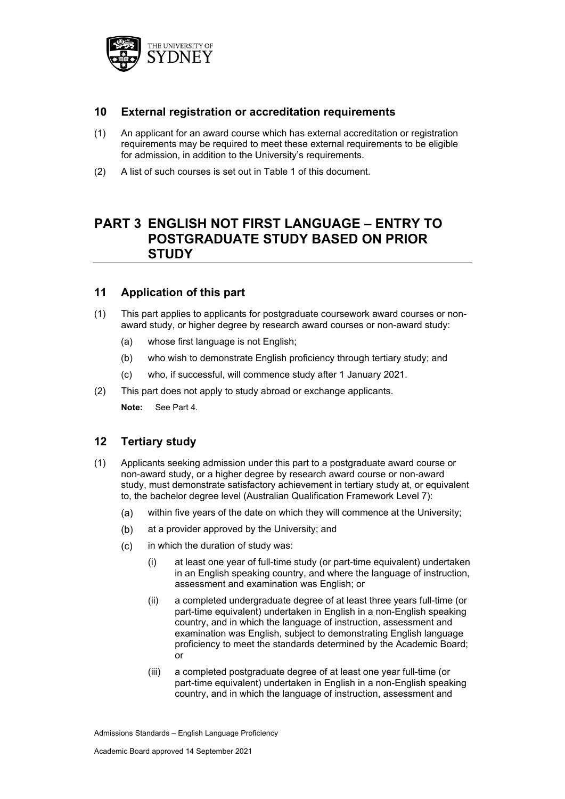

## **10 External registration or accreditation requirements**

- (1) An applicant for an award course which has external accreditation or registration requirements may be required to meet these external requirements to be eligible for admission, in addition to the University's requirements.
- (2) A list of such courses is set out in Table 1 of this document.

# **PART 3 ENGLISH NOT FIRST LANGUAGE – ENTRY TO POSTGRADUATE STUDY BASED ON PRIOR STUDY**

## **11 Application of this part**

- (1) This part applies to applicants for postgraduate coursework award courses or nonaward study, or higher degree by research award courses or non-award study:
	- (a) whose first language is not English;
	- (b) who wish to demonstrate English proficiency through tertiary study; and
	- (c) who, if successful, will commence study after 1 January 2021.
- (2) This part does not apply to study abroad or exchange applicants. **Note:** See Part 4.

## **12 Tertiary study**

- (1) Applicants seeking admission under this part to a postgraduate award course or non-award study, or a higher degree by research award course or non-award study, must demonstrate satisfactory achievement in tertiary study at, or equivalent to, the bachelor degree level (Australian Qualification Framework Level 7):
	- $(a)$ within five years of the date on which they will commence at the University;
	- at a provider approved by the University; and  $(b)$
	- $(c)$ in which the duration of study was:
		- (i) at least one year of full-time study (or part-time equivalent) undertaken in an English speaking country, and where the language of instruction, assessment and examination was English; or
		- (ii) a completed undergraduate degree of at least three years full-time (or part-time equivalent) undertaken in English in a non-English speaking country, and in which the language of instruction, assessment and examination was English, subject to demonstrating English language proficiency to meet the standards determined by the Academic Board; or
		- (iii) a completed postgraduate degree of at least one year full-time (or part-time equivalent) undertaken in English in a non-English speaking country, and in which the language of instruction, assessment and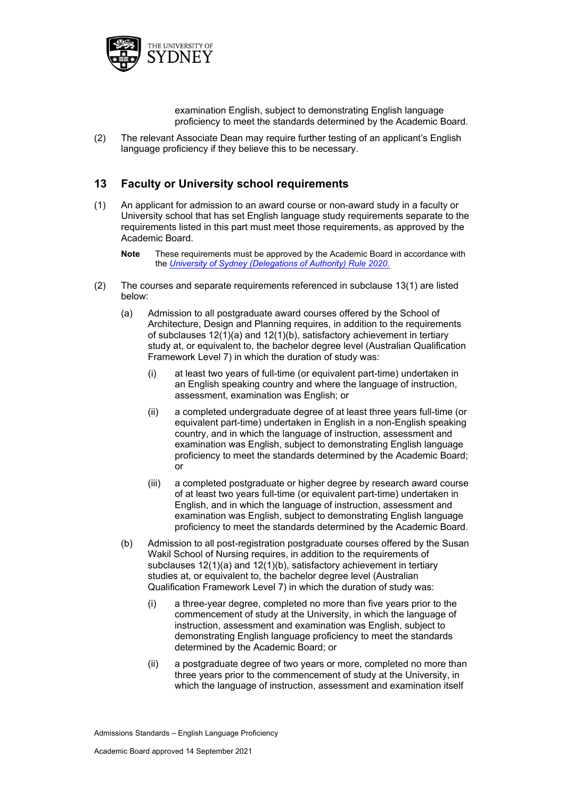

examination English, subject to demonstrating English language proficiency to meet the standards determined by the Academic Board.

(2) The relevant Associate Dean may require further testing of an applicant's English language proficiency if they believe this to be necessary.

## **13 Faculty or University school requirements**

- (1) An applicant for admission to an award course or non-award study in a faculty or University school that has set English language study requirements separate to the requirements listed in this part must meet those requirements, as approved by the Academic Board.
	- **Note** These requirements must be approved by the Academic Board in accordance with the *[University of Sydney \(Delegations of Authority\) Rule 2020](http://sydney.edu.au/policies/showdoc.aspx?recnum=PDOC2011/72&RendNum=0)*.
- (2) The courses and separate requirements referenced in subclause 13(1) are listed below:
	- (a) Admission to all postgraduate award courses offered by the School of Architecture, Design and Planning requires, in addition to the requirements of subclauses 12(1)(a) and 12(1)(b), satisfactory achievement in tertiary study at, or equivalent to, the bachelor degree level (Australian Qualification Framework Level 7) in which the duration of study was:
		- (i) at least two years of full-time (or equivalent part-time) undertaken in an English speaking country and where the language of instruction, assessment, examination was English; or
		- (ii) a completed undergraduate degree of at least three years full-time (or equivalent part-time) undertaken in English in a non-English speaking country, and in which the language of instruction, assessment and examination was English, subject to demonstrating English language proficiency to meet the standards determined by the Academic Board; or
		- (iii) a completed postgraduate or higher degree by research award course of at least two years full-time (or equivalent part-time) undertaken in English, and in which the language of instruction, assessment and examination was English, subject to demonstrating English language proficiency to meet the standards determined by the Academic Board.
	- (b) Admission to all post-registration postgraduate courses offered by the Susan Wakil School of Nursing requires, in addition to the requirements of subclauses 12(1)(a) and 12(1)(b), satisfactory achievement in tertiary studies at, or equivalent to, the bachelor degree level (Australian Qualification Framework Level 7) in which the duration of study was:
		- (i) a three-year degree, completed no more than five years prior to the commencement of study at the University, in which the language of instruction, assessment and examination was English, subject to demonstrating English language proficiency to meet the standards determined by the Academic Board; or
		- (ii) a postgraduate degree of two years or more, completed no more than three years prior to the commencement of study at the University, in which the language of instruction, assessment and examination itself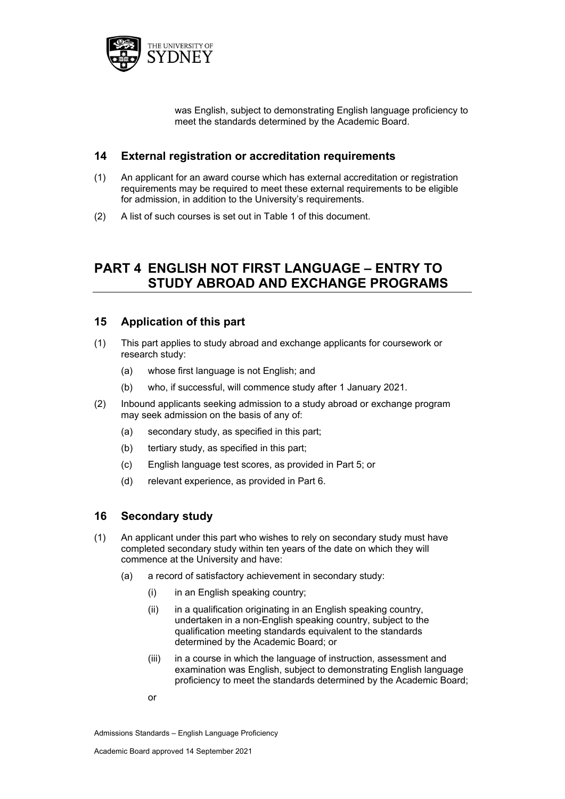

was English, subject to demonstrating English language proficiency to meet the standards determined by the Academic Board.

## **14 External registration or accreditation requirements**

- (1) An applicant for an award course which has external accreditation or registration requirements may be required to meet these external requirements to be eligible for admission, in addition to the University's requirements.
- (2) A list of such courses is set out in Table 1 of this document.

# **PART 4 ENGLISH NOT FIRST LANGUAGE – ENTRY TO STUDY ABROAD AND EXCHANGE PROGRAMS**

## **15 Application of this part**

- (1) This part applies to study abroad and exchange applicants for coursework or research study:
	- (a) whose first language is not English; and
	- (b) who, if successful, will commence study after 1 January 2021.
- (2) Inbound applicants seeking admission to a study abroad or exchange program may seek admission on the basis of any of:
	- (a) secondary study, as specified in this part;
	- (b) tertiary study, as specified in this part;
	- (c) English language test scores, as provided in Part 5; or
	- (d) relevant experience, as provided in Part 6.

## **16 Secondary study**

- (1) An applicant under this part who wishes to rely on secondary study must have completed secondary study within ten years of the date on which they will commence at the University and have:
	- (a) a record of satisfactory achievement in secondary study:
		- (i) in an English speaking country;
		- $(ii)$  in a qualification originating in an English speaking country, undertaken in a non-English speaking country, subject to the qualification meeting standards equivalent to the standards determined by the Academic Board; or
		- (iii) in a course in which the language of instruction, assessment and examination was English, subject to demonstrating English language proficiency to meet the standards determined by the Academic Board;
		- or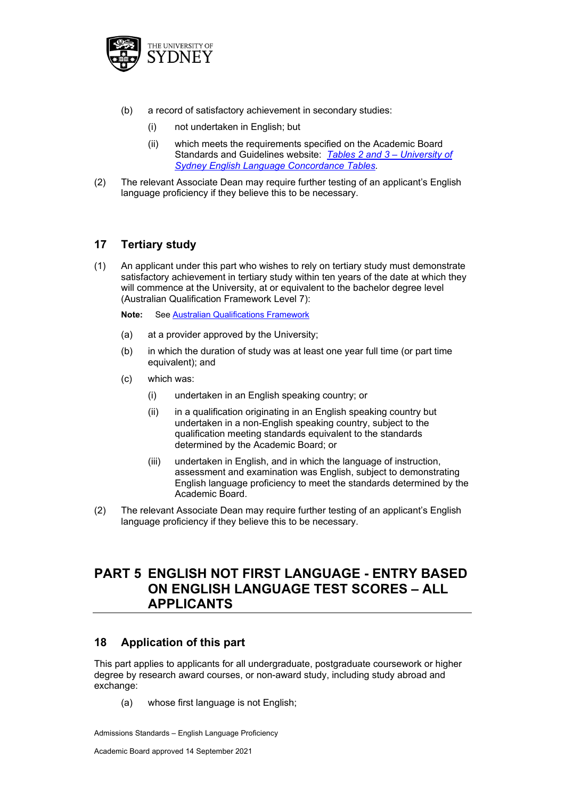

- (b) a record of satisfactory achievement in secondary studies:
	- (i) not undertaken in English; but
	- (ii) which meets the requirements specified on the Academic Board Standards and Guidelines website: *[Tables 2 and 3 –](https://www.sydney.edu.au/content/dam/corporate/documents/about-us/governance-and-structure/university-calendar/english-language-concordance-table.pdf) University of [Sydney English Language Concordance Tables.](https://www.sydney.edu.au/content/dam/corporate/documents/about-us/governance-and-structure/university-calendar/english-language-concordance-table.pdf)*
- (2) The relevant Associate Dean may require further testing of an applicant's English language proficiency if they believe this to be necessary.

# **17 Tertiary study**

- (1) An applicant under this part who wishes to rely on tertiary study must demonstrate satisfactory achievement in tertiary study within ten years of the date at which they will commence at the University, at or equivalent to the bachelor degree level (Australian Qualification Framework Level 7):
	- **Note:** See [Australian Qualifications Framework](https://www.aqf.edu.au/)
	- (a) at a provider approved by the University;
	- (b) in which the duration of study was at least one year full time (or part time equivalent); and
	- (c) which was:
		- (i) undertaken in an English speaking country; or
		- (ii) in a qualification originating in an English speaking country but undertaken in a non-English speaking country, subject to the qualification meeting standards equivalent to the standards determined by the Academic Board; or
		- (iii) undertaken in English, and in which the language of instruction, assessment and examination was English, subject to demonstrating English language proficiency to meet the standards determined by the Academic Board.
- (2) The relevant Associate Dean may require further testing of an applicant's English language proficiency if they believe this to be necessary.

# **PART 5 ENGLISH NOT FIRST LANGUAGE - ENTRY BASED ON ENGLISH LANGUAGE TEST SCORES – ALL APPLICANTS**

# **18 Application of this part**

This part applies to applicants for all undergraduate, postgraduate coursework or higher degree by research award courses, or non-award study, including study abroad and exchange:

(a) whose first language is not English;

Admissions Standards – English Language Proficiency

Academic Board approved 14 September 2021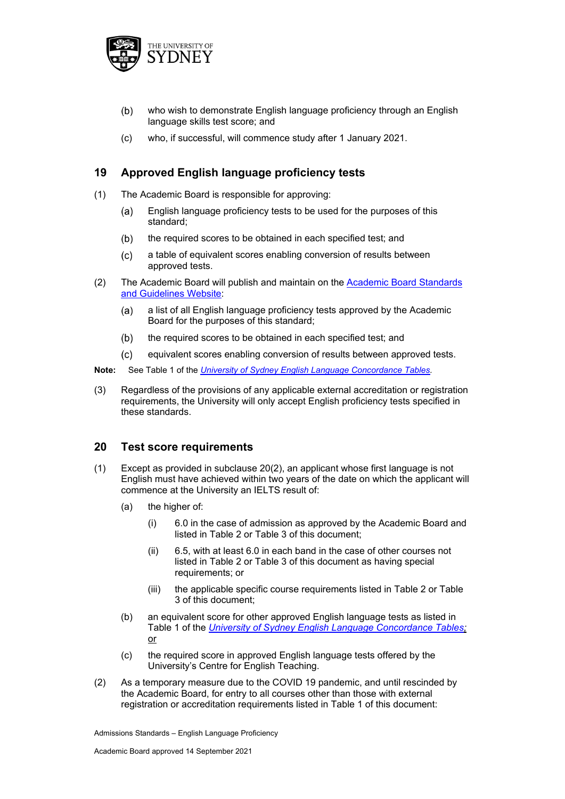

- $(b)$ who wish to demonstrate English language proficiency through an English language skills test score; and
- (c) who, if successful, will commence study after 1 January 2021.

# **19 Approved English language proficiency tests**

- (1) The Academic Board is responsible for approving:
	- $(a)$ English language proficiency tests to be used for the purposes of this standard;
	- $(b)$ the required scores to be obtained in each specified test; and
	- $(c)$ a table of equivalent scores enabling conversion of results between approved tests.
- (2) The Academic Board will publish and maintain on the [Academic Board Standards](https://www.sydney.edu.au/about-us/governance-and-structure/university-calendar.html#ab-standards)  [and Guidelines Website:](https://www.sydney.edu.au/about-us/governance-and-structure/university-calendar.html#ab-standards)
	- a list of all English language proficiency tests approved by the Academic  $(a)$ Board for the purposes of this standard;
	- the required scores to be obtained in each specified test; and  $(b)$
	- $(c)$ equivalent scores enabling conversion of results between approved tests.
- **Note:** See Table 1 of the *[University of Sydney English Language Concordance Tables.](https://www.sydney.edu.au/content/dam/corporate/documents/about-us/governance-and-structure/university-calendar/english-language-concordance-table.pdf)*
- (3) Regardless of the provisions of any applicable external accreditation or registration requirements, the University will only accept English proficiency tests specified in these standards.

## **20 Test score requirements**

- (1) Except as provided in subclause 20(2), an applicant whose first language is not English must have achieved within two years of the date on which the applicant will commence at the University an IELTS result of:
	- (a) the higher of:
		- (i) 6.0 in the case of admission as approved by the Academic Board and listed in Table 2 or Table 3 of this document;
		- (ii) 6.5, with at least 6.0 in each band in the case of other courses not listed in Table 2 or Table 3 of this document as having special requirements; or
		- (iii) the applicable specific course requirements listed in Table 2 or Table 3 of this document;
	- (b) an equivalent score for other approved English language tests as listed in Table 1 of the *[University of Sydney English Language Concordance Tables;](https://www.sydney.edu.au/content/dam/corporate/documents/about-us/governance-and-structure/university-calendar/english-language-concordance-table.pdf)* or
	- (c) the required score in approved English language tests offered by the University's Centre for English Teaching.
- (2) As a temporary measure due to the COVID 19 pandemic, and until rescinded by the Academic Board, for entry to all courses other than those with external registration or accreditation requirements listed in Table 1 of this document: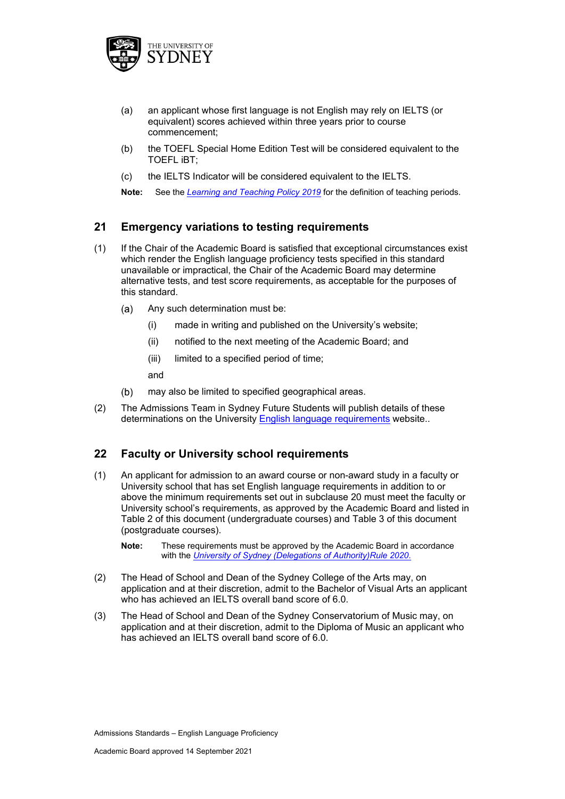

- (a) an applicant whose first language is not English may rely on IELTS (or equivalent) scores achieved within three years prior to course commencement;
- (b) the TOEFL Special Home Edition Test will be considered equivalent to the TOEFL iBT;
- (c) the IELTS Indicator will be considered equivalent to the IELTS.

**Note:** See the *[Learning and Teaching Policy 2019](https://www.sydney.edu.au/policies/showdoc.aspx?recnum=PDOC2015/401&RendNum=0)* for the definition of teaching periods.

# **21 Emergency variations to testing requirements**

- (1) If the Chair of the Academic Board is satisfied that exceptional circumstances exist which render the English language proficiency tests specified in this standard unavailable or impractical, the Chair of the Academic Board may determine alternative tests, and test score requirements, as acceptable for the purposes of this standard.
	- Any such determination must be:  $(a)$ 
		- (i) made in writing and published on the University's website;
		- (ii) notified to the next meeting of the Academic Board; and
		- (iii) limited to a specified period of time;

and

- $(b)$ may also be limited to specified geographical areas.
- (2) The Admissions Team in Sydney Future Students will publish details of these determinations on the University [English language requirements](https://www.sydney.edu.au/study/how-to-apply/international-students/english-language-requirements.html) website..

## **22 Faculty or University school requirements**

- (1) An applicant for admission to an award course or non-award study in a faculty or University school that has set English language requirements in addition to or above the minimum requirements set out in subclause 20 must meet the faculty or University school's requirements, as approved by the Academic Board and listed in Table 2 of this document (undergraduate courses) and Table 3 of this document (postgraduate courses).
	- **Note:** These requirements must be approved by the Academic Board in accordance with the *[University of Sydney \(Delegations of Authority\)Rule 2020](http://sydney.edu.au/policies/showdoc.aspx?recnum=PDOC2011/71&RendNum=0)*.
- (2) The Head of School and Dean of the Sydney College of the Arts may, on application and at their discretion, admit to the Bachelor of Visual Arts an applicant who has achieved an IELTS overall band score of 6.0.
- (3) The Head of School and Dean of the Sydney Conservatorium of Music may, on application and at their discretion, admit to the Diploma of Music an applicant who has achieved an IELTS overall band score of 6.0.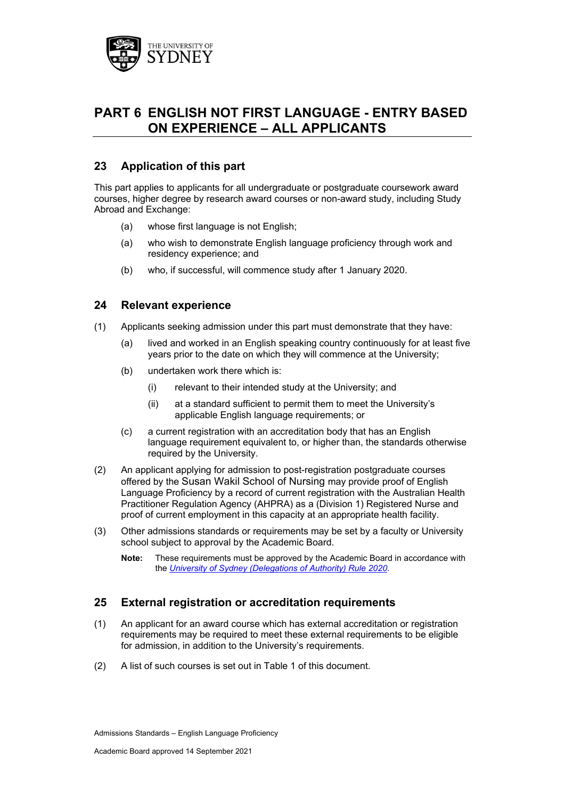

# **PART 6 ENGLISH NOT FIRST LANGUAGE - ENTRY BASED ON EXPERIENCE – ALL APPLICANTS**

# **23 Application of this part**

This part applies to applicants for all undergraduate or postgraduate coursework award courses, higher degree by research award courses or non-award study, including Study Abroad and Exchange:

- (a) whose first language is not English;
- (a) who wish to demonstrate English language proficiency through work and residency experience; and
- (b) who, if successful, will commence study after 1 January 2020.

## **24 Relevant experience**

- (1) Applicants seeking admission under this part must demonstrate that they have:
	- (a) lived and worked in an English speaking country continuously for at least five years prior to the date on which they will commence at the University;
	- (b) undertaken work there which is:
		- (i) relevant to their intended study at the University; and
		- (ii) at a standard sufficient to permit them to meet the University's applicable English language requirements; or
	- (c) a current registration with an accreditation body that has an English language requirement equivalent to, or higher than, the standards otherwise required by the University.
- (2) An applicant applying for admission to post-registration postgraduate courses offered by the Susan Wakil School of Nursing may provide proof of English Language Proficiency by a record of current registration with the Australian Health Practitioner Regulation Agency (AHPRA) as a (Division 1) Registered Nurse and proof of current employment in this capacity at an appropriate health facility.
- (3) Other admissions standards or requirements may be set by a faculty or University school subject to approval by the Academic Board.
	- **Note:** These requirements must be approved by the Academic Board in accordance with the *[University of Sydney \(Delegations of Authority\) Rule 2020](http://sydney.edu.au/policies/showdoc.aspx?recnum=PDOC2011/72&RendNum=0)*.

## **25 External registration or accreditation requirements**

- (1) An applicant for an award course which has external accreditation or registration requirements may be required to meet these external requirements to be eligible for admission, in addition to the University's requirements.
- (2) A list of such courses is set out in Table 1 of this document.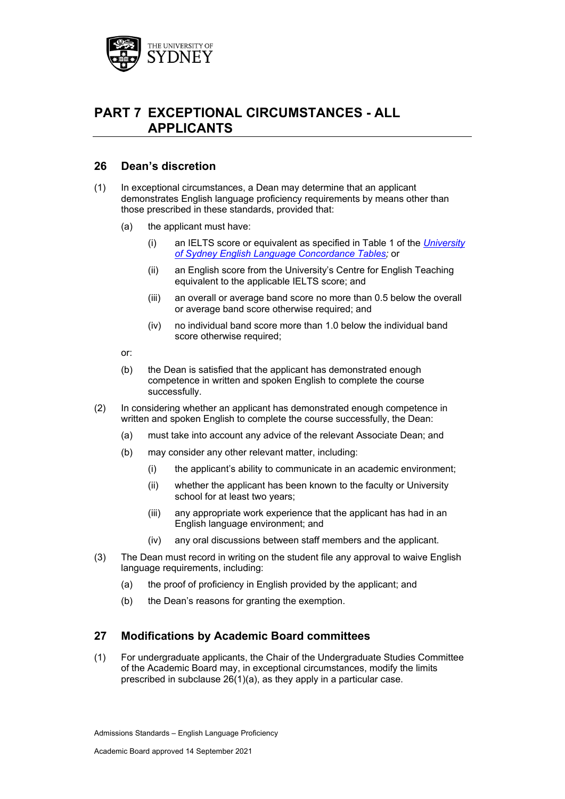

# **PART 7 EXCEPTIONAL CIRCUMSTANCES - ALL APPLICANTS**

## **26 Dean's discretion**

- (1) In exceptional circumstances, a Dean may determine that an applicant demonstrates English language proficiency requirements by means other than those prescribed in these standards, provided that:
	- (a) the applicant must have:
		- (i) an IELTS score or equivalent as specified in Table 1 of the *[University](https://www.sydney.edu.au/content/dam/corporate/documents/about-us/governance-and-structure/university-calendar/english-language-concordance-table.pdf)  [of Sydney English Language Concordance Tables;](https://www.sydney.edu.au/content/dam/corporate/documents/about-us/governance-and-structure/university-calendar/english-language-concordance-table.pdf)* or
		- (ii) an English score from the University's Centre for English Teaching equivalent to the applicable IELTS score; and
		- (iii) an overall or average band score no more than 0.5 below the overall or average band score otherwise required; and
		- (iv) no individual band score more than 1.0 below the individual band score otherwise required:
	- or:
	- (b) the Dean is satisfied that the applicant has demonstrated enough competence in written and spoken English to complete the course successfully.
- (2) In considering whether an applicant has demonstrated enough competence in written and spoken English to complete the course successfully, the Dean:
	- (a) must take into account any advice of the relevant Associate Dean; and
	- (b) may consider any other relevant matter, including:
		- (i) the applicant's ability to communicate in an academic environment;
		- (ii) whether the applicant has been known to the faculty or University school for at least two years;
		- (iii) any appropriate work experience that the applicant has had in an English language environment; and
		- (iv) any oral discussions between staff members and the applicant.
- (3) The Dean must record in writing on the student file any approval to waive English language requirements, including:
	- (a) the proof of proficiency in English provided by the applicant; and
	- (b) the Dean's reasons for granting the exemption.

## **27 Modifications by Academic Board committees**

(1) For undergraduate applicants, the Chair of the Undergraduate Studies Committee of the Academic Board may, in exceptional circumstances, modify the limits prescribed in subclause 26(1)(a), as they apply in a particular case.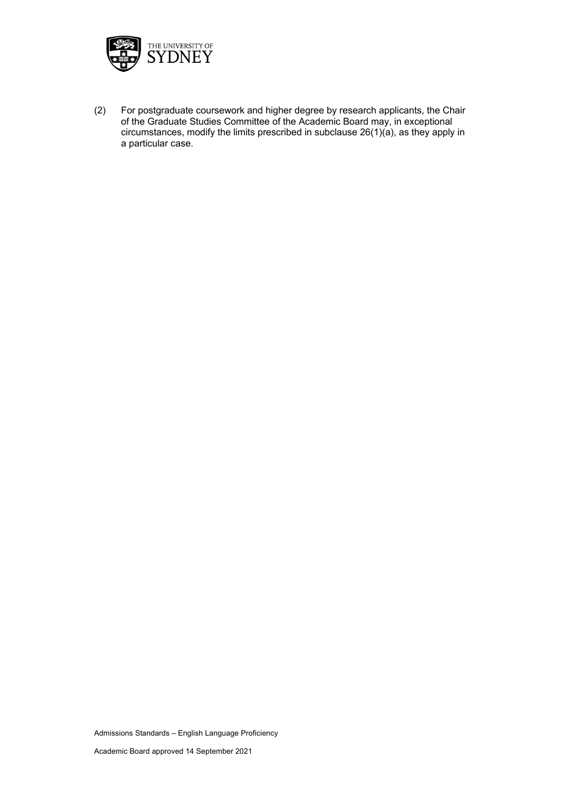

(2) For postgraduate coursework and higher degree by research applicants, the Chair of the Graduate Studies Committee of the Academic Board may, in exceptional circumstances, modify the limits prescribed in subclause 26(1)(a), as they apply in a particular case.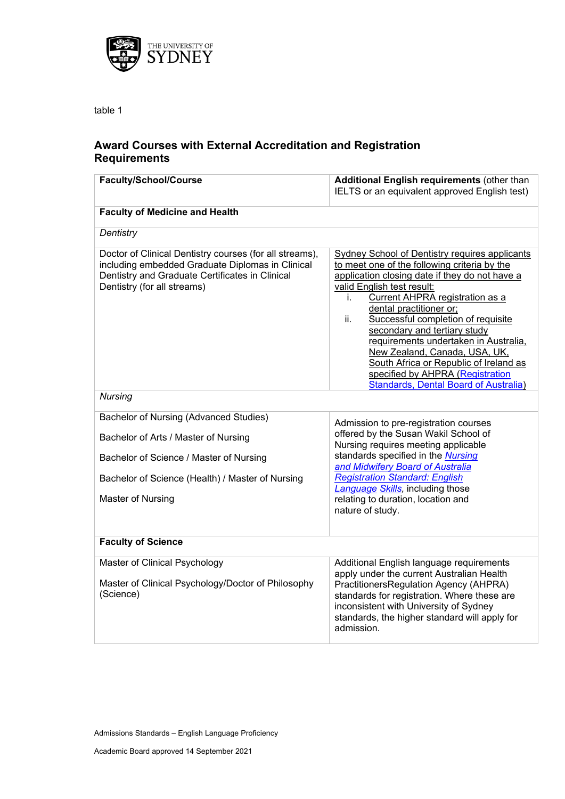

table 1

# **Award Courses with External Accreditation and Registration Requirements**

| <b>Faculty/School/Course</b>                                                                                                                                                                  | Additional English requirements (other than<br>IELTS or an equivalent approved English test)                                                                                                                                                                                                                                                                                                                                                                                                                                                   |  |
|-----------------------------------------------------------------------------------------------------------------------------------------------------------------------------------------------|------------------------------------------------------------------------------------------------------------------------------------------------------------------------------------------------------------------------------------------------------------------------------------------------------------------------------------------------------------------------------------------------------------------------------------------------------------------------------------------------------------------------------------------------|--|
| <b>Faculty of Medicine and Health</b>                                                                                                                                                         |                                                                                                                                                                                                                                                                                                                                                                                                                                                                                                                                                |  |
| Dentistry                                                                                                                                                                                     |                                                                                                                                                                                                                                                                                                                                                                                                                                                                                                                                                |  |
| Doctor of Clinical Dentistry courses (for all streams),<br>including embedded Graduate Diplomas in Clinical<br>Dentistry and Graduate Certificates in Clinical<br>Dentistry (for all streams) | <b>Sydney School of Dentistry requires applicants</b><br>to meet one of the following criteria by the<br>application closing date if they do not have a<br>valid English test result:<br>Current AHPRA registration as a<br>j.<br>dental practitioner or;<br>Successful completion of requisite<br>ii.<br>secondary and tertiary study<br>requirements undertaken in Australia,<br>New Zealand, Canada, USA, UK,<br>South Africa or Republic of Ireland as<br>specified by AHPRA (Registration<br><b>Standards, Dental Board of Australia)</b> |  |
| <b>Nursing</b>                                                                                                                                                                                |                                                                                                                                                                                                                                                                                                                                                                                                                                                                                                                                                |  |
| Bachelor of Nursing (Advanced Studies)                                                                                                                                                        | Admission to pre-registration courses                                                                                                                                                                                                                                                                                                                                                                                                                                                                                                          |  |
| Bachelor of Arts / Master of Nursing                                                                                                                                                          | offered by the Susan Wakil School of<br>Nursing requires meeting applicable                                                                                                                                                                                                                                                                                                                                                                                                                                                                    |  |
| Bachelor of Science / Master of Nursing                                                                                                                                                       | standards specified in the Nursing<br>and Midwifery Board of Australia                                                                                                                                                                                                                                                                                                                                                                                                                                                                         |  |
| Bachelor of Science (Health) / Master of Nursing                                                                                                                                              | <b>Registration Standard: English</b><br><b>Language Skills</b> , including those                                                                                                                                                                                                                                                                                                                                                                                                                                                              |  |
| Master of Nursing                                                                                                                                                                             | relating to duration, location and<br>nature of study.                                                                                                                                                                                                                                                                                                                                                                                                                                                                                         |  |
| <b>Faculty of Science</b>                                                                                                                                                                     |                                                                                                                                                                                                                                                                                                                                                                                                                                                                                                                                                |  |
| Master of Clinical Psychology<br>Master of Clinical Psychology/Doctor of Philosophy<br>(Science)                                                                                              | Additional English language requirements<br>apply under the current Australian Health<br>PractitionersRegulation Agency (AHPRA)<br>standards for registration. Where these are<br>inconsistent with University of Sydney<br>standards, the higher standard will apply for<br>admission.                                                                                                                                                                                                                                                        |  |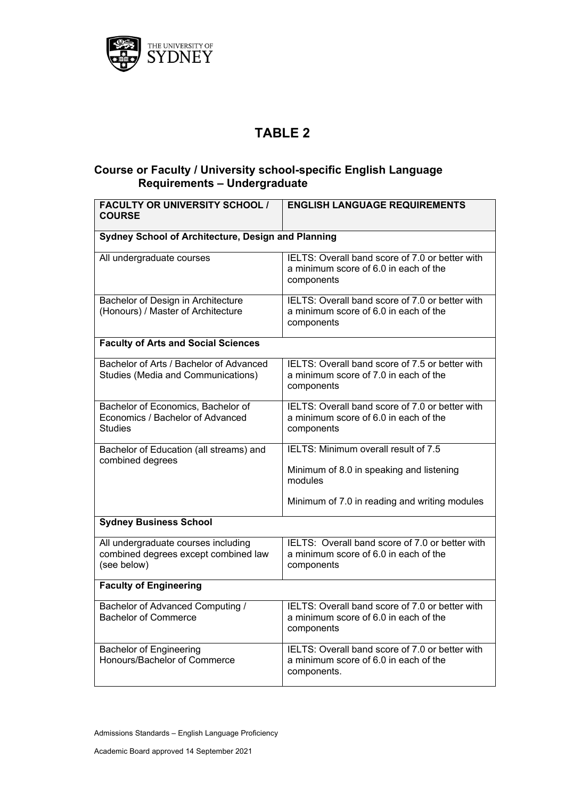

# **TABLE 2**

# **Course or Faculty / University school-specific English Language Requirements – Undergraduate**

| <b>FACULTY OR UNIVERSITY SCHOOL /</b><br><b>COURSE</b>                                     | <b>ENGLISH LANGUAGE REQUIREMENTS</b>                                                                                                         |  |
|--------------------------------------------------------------------------------------------|----------------------------------------------------------------------------------------------------------------------------------------------|--|
| Sydney School of Architecture, Design and Planning                                         |                                                                                                                                              |  |
| All undergraduate courses                                                                  | IELTS: Overall band score of 7.0 or better with<br>a minimum score of 6.0 in each of the<br>components                                       |  |
| Bachelor of Design in Architecture<br>(Honours) / Master of Architecture                   | IELTS: Overall band score of 7.0 or better with<br>a minimum score of 6.0 in each of the<br>components                                       |  |
| <b>Faculty of Arts and Social Sciences</b>                                                 |                                                                                                                                              |  |
| Bachelor of Arts / Bachelor of Advanced<br><b>Studies (Media and Communications)</b>       | IELTS: Overall band score of 7.5 or better with<br>a minimum score of 7.0 in each of the<br>components                                       |  |
| Bachelor of Economics, Bachelor of<br>Economics / Bachelor of Advanced<br><b>Studies</b>   | IELTS: Overall band score of 7.0 or better with<br>a minimum score of 6.0 in each of the<br>components                                       |  |
| Bachelor of Education (all streams) and<br>combined degrees                                | IELTS: Minimum overall result of 7.5<br>Minimum of 8.0 in speaking and listening<br>modules<br>Minimum of 7.0 in reading and writing modules |  |
| <b>Sydney Business School</b>                                                              |                                                                                                                                              |  |
| All undergraduate courses including<br>combined degrees except combined law<br>(see below) | IELTS: Overall band score of 7.0 or better with<br>a minimum score of 6.0 in each of the<br>components                                       |  |
| <b>Faculty of Engineering</b>                                                              |                                                                                                                                              |  |
| Bachelor of Advanced Computing /<br><b>Bachelor of Commerce</b>                            | IELTS: Overall band score of 7.0 or better with<br>a minimum score of 6.0 in each of the<br>components                                       |  |
| <b>Bachelor of Engineering</b><br>Honours/Bachelor of Commerce                             | IELTS: Overall band score of 7.0 or better with<br>a minimum score of 6.0 in each of the<br>components.                                      |  |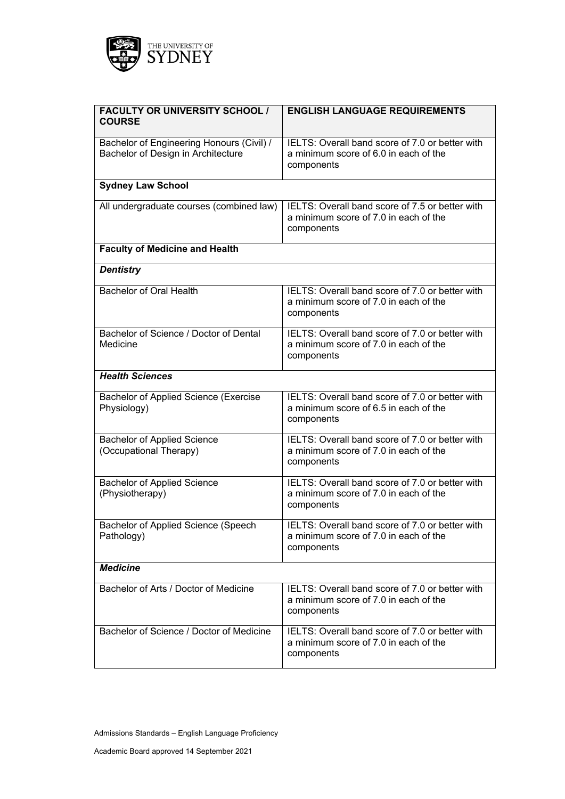

| <b>FACULTY OR UNIVERSITY SCHOOL /</b><br><b>COURSE</b>                          | <b>ENGLISH LANGUAGE REQUIREMENTS</b>                                                                   |
|---------------------------------------------------------------------------------|--------------------------------------------------------------------------------------------------------|
| Bachelor of Engineering Honours (Civil) /<br>Bachelor of Design in Architecture | IELTS: Overall band score of 7.0 or better with<br>a minimum score of 6.0 in each of the<br>components |
| <b>Sydney Law School</b>                                                        |                                                                                                        |
| All undergraduate courses (combined law)                                        | IELTS: Overall band score of 7.5 or better with<br>a minimum score of 7.0 in each of the<br>components |
| <b>Faculty of Medicine and Health</b>                                           |                                                                                                        |
| <b>Dentistry</b>                                                                |                                                                                                        |
| <b>Bachelor of Oral Health</b>                                                  | IELTS: Overall band score of 7.0 or better with<br>a minimum score of 7.0 in each of the<br>components |
| Bachelor of Science / Doctor of Dental<br>Medicine                              | IELTS: Overall band score of 7.0 or better with<br>a minimum score of 7.0 in each of the<br>components |
| <b>Health Sciences</b>                                                          |                                                                                                        |
| Bachelor of Applied Science (Exercise<br>Physiology)                            | IELTS: Overall band score of 7.0 or better with<br>a minimum score of 6.5 in each of the<br>components |
| <b>Bachelor of Applied Science</b><br>(Occupational Therapy)                    | IELTS: Overall band score of 7.0 or better with<br>a minimum score of 7.0 in each of the<br>components |
| <b>Bachelor of Applied Science</b><br>(Physiotherapy)                           | IELTS: Overall band score of 7.0 or better with<br>a minimum score of 7.0 in each of the<br>components |
| Bachelor of Applied Science (Speech<br>Pathology)                               | IELTS: Overall band score of 7.0 or better with<br>a minimum score of 7.0 in each of the<br>components |
| <b>Medicine</b>                                                                 |                                                                                                        |
| Bachelor of Arts / Doctor of Medicine                                           | IELTS: Overall band score of 7.0 or better with<br>a minimum score of 7.0 in each of the<br>components |
| Bachelor of Science / Doctor of Medicine                                        | IELTS: Overall band score of 7.0 or better with<br>a minimum score of 7.0 in each of the<br>components |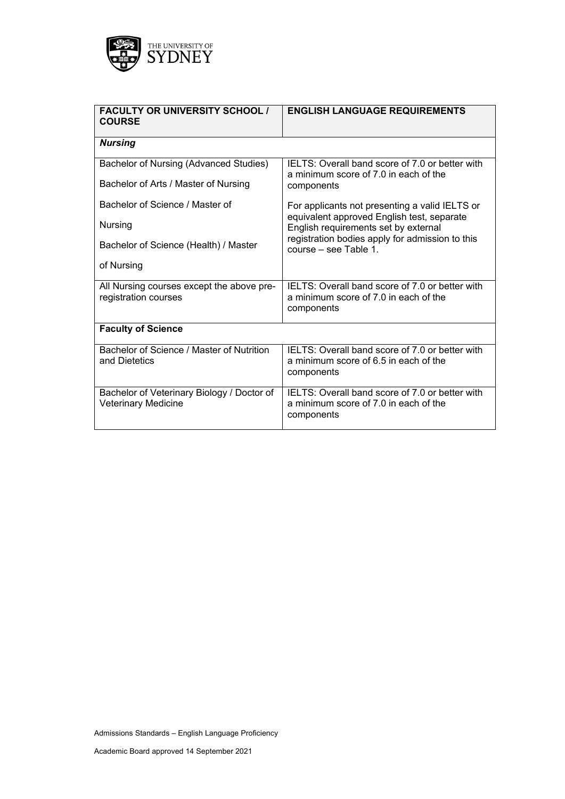

| <b>FACULTY OR UNIVERSITY SCHOOL /</b><br><b>COURSE</b>            | <b>ENGLISH LANGUAGE REQUIREMENTS</b>                                                                   |
|-------------------------------------------------------------------|--------------------------------------------------------------------------------------------------------|
| <b>Nursing</b>                                                    |                                                                                                        |
| Bachelor of Nursing (Advanced Studies)                            | IELTS: Overall band score of 7.0 or better with<br>a minimum score of 7.0 in each of the               |
| Bachelor of Arts / Master of Nursing                              | components                                                                                             |
| Bachelor of Science / Master of                                   | For applicants not presenting a valid IELTS or<br>equivalent approved English test, separate           |
| Nursing                                                           | English requirements set by external<br>registration bodies apply for admission to this                |
| Bachelor of Science (Health) / Master                             | course – see Table 1.                                                                                  |
| of Nursing                                                        |                                                                                                        |
| All Nursing courses except the above pre-<br>registration courses | IELTS: Overall band score of 7.0 or better with<br>a minimum score of 7.0 in each of the               |
|                                                                   | components                                                                                             |
| <b>Faculty of Science</b>                                         |                                                                                                        |
| Bachelor of Science / Master of Nutrition<br>and Dietetics        | IELTS: Overall band score of 7.0 or better with<br>a minimum score of 6.5 in each of the<br>components |
| Bachelor of Veterinary Biology / Doctor of                        | IELTS: Overall band score of 7.0 or better with                                                        |
| <b>Veterinary Medicine</b>                                        | a minimum score of 7.0 in each of the<br>components                                                    |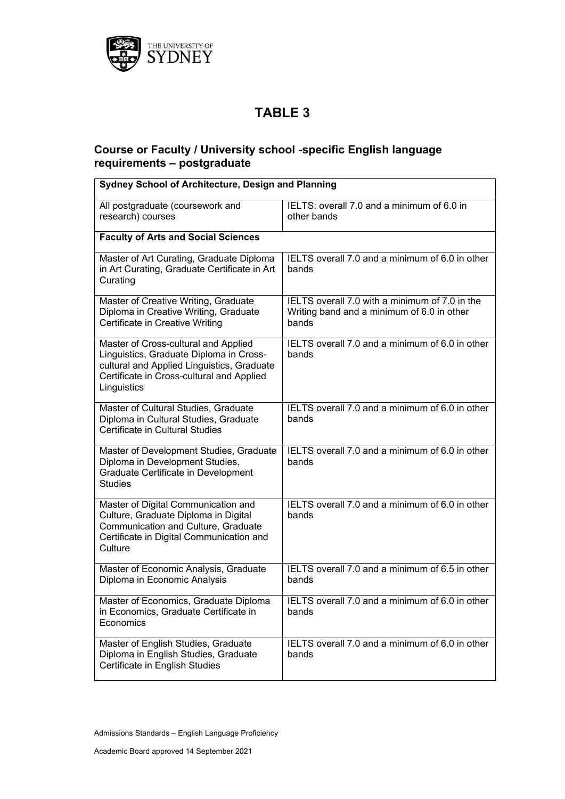

# **TABLE 3**

# **Course or Faculty / University school -specific English language requirements – postgraduate**

| Sydney School of Architecture, Design and Planning                                                                                                                                        |                                                                                                       |  |
|-------------------------------------------------------------------------------------------------------------------------------------------------------------------------------------------|-------------------------------------------------------------------------------------------------------|--|
| All postgraduate (coursework and<br>research) courses                                                                                                                                     | IELTS: overall 7.0 and a minimum of 6.0 in<br>other bands                                             |  |
| <b>Faculty of Arts and Social Sciences</b>                                                                                                                                                |                                                                                                       |  |
| Master of Art Curating, Graduate Diploma<br>in Art Curating, Graduate Certificate in Art<br>Curating                                                                                      | IELTS overall 7.0 and a minimum of 6.0 in other<br>bands                                              |  |
| Master of Creative Writing, Graduate<br>Diploma in Creative Writing, Graduate<br>Certificate in Creative Writing                                                                          | IELTS overall 7.0 with a minimum of 7.0 in the<br>Writing band and a minimum of 6.0 in other<br>bands |  |
| Master of Cross-cultural and Applied<br>Linguistics, Graduate Diploma in Cross-<br>cultural and Applied Linguistics, Graduate<br>Certificate in Cross-cultural and Applied<br>Linguistics | IELTS overall 7.0 and a minimum of 6.0 in other<br>bands                                              |  |
| Master of Cultural Studies, Graduate<br>Diploma in Cultural Studies, Graduate<br>Certificate in Cultural Studies                                                                          | IELTS overall 7.0 and a minimum of 6.0 in other<br>bands                                              |  |
| Master of Development Studies, Graduate<br>Diploma in Development Studies,<br>Graduate Certificate in Development<br><b>Studies</b>                                                       | IELTS overall 7.0 and a minimum of 6.0 in other<br>bands                                              |  |
| Master of Digital Communication and<br>Culture, Graduate Diploma in Digital<br>Communication and Culture, Graduate<br>Certificate in Digital Communication and<br>Culture                 | IELTS overall 7.0 and a minimum of 6.0 in other<br>bands                                              |  |
| Master of Economic Analysis, Graduate<br>Diploma in Economic Analysis                                                                                                                     | IELTS overall 7.0 and a minimum of 6.5 in other<br>bands                                              |  |
| Master of Economics, Graduate Diploma<br>in Economics, Graduate Certificate in<br>Economics                                                                                               | IELTS overall 7.0 and a minimum of 6.0 in other<br>bands                                              |  |
| Master of English Studies, Graduate<br>Diploma in English Studies, Graduate<br>Certificate in English Studies                                                                             | IELTS overall 7.0 and a minimum of 6.0 in other<br>bands                                              |  |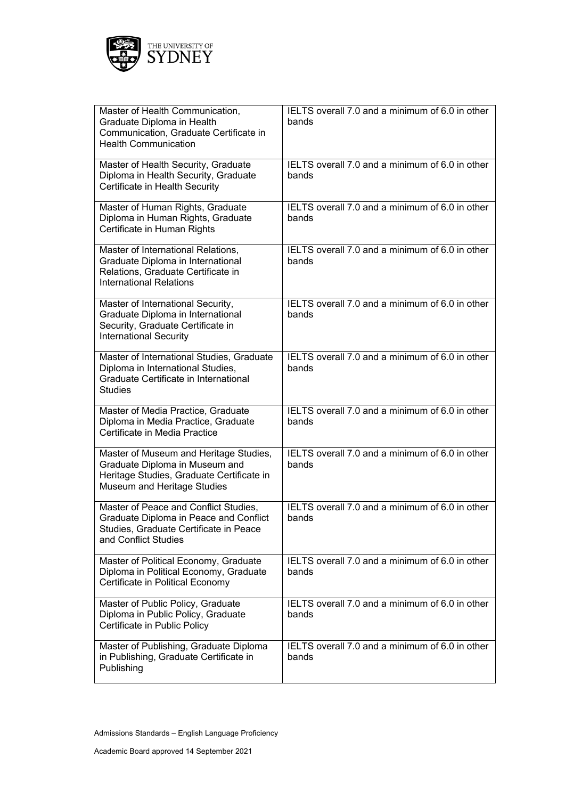

| Master of Health Communication,<br>Graduate Diploma in Health<br>Communication, Graduate Certificate in<br><b>Health Communication</b>               | IELTS overall 7.0 and a minimum of 6.0 in other<br>bands |
|------------------------------------------------------------------------------------------------------------------------------------------------------|----------------------------------------------------------|
| Master of Health Security, Graduate<br>Diploma in Health Security, Graduate<br>Certificate in Health Security                                        | IELTS overall 7.0 and a minimum of 6.0 in other<br>bands |
| Master of Human Rights, Graduate<br>Diploma in Human Rights, Graduate<br>Certificate in Human Rights                                                 | IELTS overall 7.0 and a minimum of 6.0 in other<br>bands |
| Master of International Relations,<br>Graduate Diploma in International<br>Relations, Graduate Certificate in<br><b>International Relations</b>      | IELTS overall 7.0 and a minimum of 6.0 in other<br>bands |
| Master of International Security,<br>Graduate Diploma in International<br>Security, Graduate Certificate in<br><b>International Security</b>         | IELTS overall 7.0 and a minimum of 6.0 in other<br>bands |
| Master of International Studies, Graduate<br>Diploma in International Studies,<br>Graduate Certificate in International<br><b>Studies</b>            | IELTS overall 7.0 and a minimum of 6.0 in other<br>bands |
| Master of Media Practice, Graduate<br>Diploma in Media Practice, Graduate<br>Certificate in Media Practice                                           | IELTS overall 7.0 and a minimum of 6.0 in other<br>bands |
| Master of Museum and Heritage Studies,<br>Graduate Diploma in Museum and<br>Heritage Studies, Graduate Certificate in<br>Museum and Heritage Studies | IELTS overall 7.0 and a minimum of 6.0 in other<br>bands |
| Master of Peace and Conflict Studies,<br>Graduate Diploma in Peace and Conflict<br>Studies, Graduate Certificate in Peace<br>and Conflict Studies    | IELTS overall 7.0 and a minimum of 6.0 in other<br>bands |
| Master of Political Economy, Graduate<br>Diploma in Political Economy, Graduate<br>Certificate in Political Economy                                  | IELTS overall 7.0 and a minimum of 6.0 in other<br>bands |
| Master of Public Policy, Graduate<br>Diploma in Public Policy, Graduate<br>Certificate in Public Policy                                              | IELTS overall 7.0 and a minimum of 6.0 in other<br>bands |
| Master of Publishing, Graduate Diploma<br>in Publishing, Graduate Certificate in<br>Publishing                                                       | IELTS overall 7.0 and a minimum of 6.0 in other<br>bands |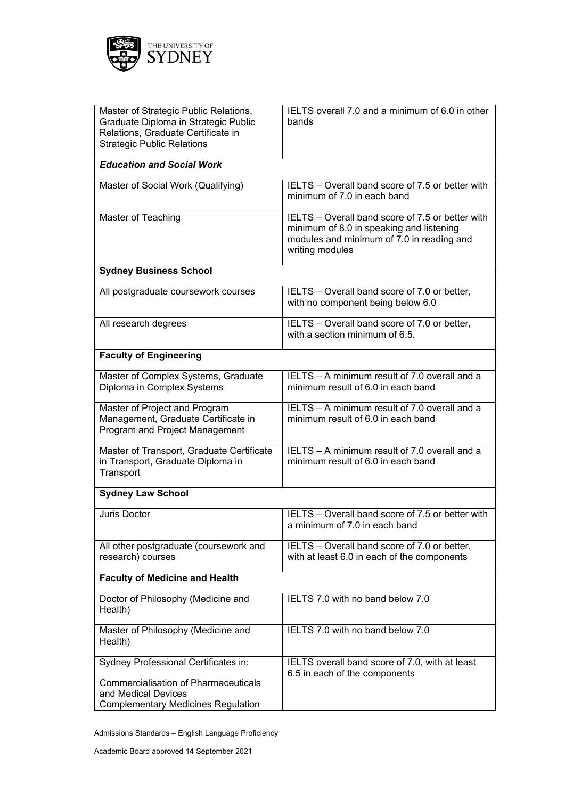

| Master of Strategic Public Relations,<br>Graduate Diploma in Strategic Public<br>Relations, Graduate Certificate in<br><b>Strategic Public Relations</b> | IELTS overall 7.0 and a minimum of 6.0 in other<br>bands                                                                                                     |  |
|----------------------------------------------------------------------------------------------------------------------------------------------------------|--------------------------------------------------------------------------------------------------------------------------------------------------------------|--|
| <b>Education and Social Work</b>                                                                                                                         |                                                                                                                                                              |  |
| Master of Social Work (Qualifying)                                                                                                                       | IELTS - Overall band score of 7.5 or better with<br>minimum of 7.0 in each band                                                                              |  |
| Master of Teaching                                                                                                                                       | IELTS – Overall band score of 7.5 or better with<br>minimum of 8.0 in speaking and listening<br>modules and minimum of 7.0 in reading and<br>writing modules |  |
| <b>Sydney Business School</b>                                                                                                                            |                                                                                                                                                              |  |
| All postgraduate coursework courses                                                                                                                      | IELTS - Overall band score of 7.0 or better,<br>with no component being below 6.0                                                                            |  |
| All research degrees                                                                                                                                     | IELTS - Overall band score of 7.0 or better,<br>with a section minimum of 6.5.                                                                               |  |
| <b>Faculty of Engineering</b>                                                                                                                            |                                                                                                                                                              |  |
| Master of Complex Systems, Graduate<br>Diploma in Complex Systems                                                                                        | IELTS - A minimum result of 7.0 overall and a<br>minimum result of 6.0 in each band                                                                          |  |
| Master of Project and Program<br>Management, Graduate Certificate in<br>Program and Project Management                                                   | IELTS - A minimum result of 7.0 overall and a<br>minimum result of 6.0 in each band                                                                          |  |
| Master of Transport, Graduate Certificate<br>in Transport, Graduate Diploma in<br>Transport                                                              | IELTS - A minimum result of 7.0 overall and a<br>minimum result of 6.0 in each band                                                                          |  |
| <b>Sydney Law School</b>                                                                                                                                 |                                                                                                                                                              |  |
| <b>Juris Doctor</b>                                                                                                                                      | IELTS - Overall band score of 7.5 or better with<br>a minimum of 7.0 in each band                                                                            |  |
| All other postgraduate (coursework and<br>research) courses                                                                                              | IELTS - Overall band score of 7.0 or better,<br>with at least 6.0 in each of the components                                                                  |  |
| <b>Faculty of Medicine and Health</b>                                                                                                                    |                                                                                                                                                              |  |
| Doctor of Philosophy (Medicine and<br>Health)                                                                                                            | IELTS 7.0 with no band below 7.0                                                                                                                             |  |
| Master of Philosophy (Medicine and<br>Health)                                                                                                            | IELTS 7.0 with no band below 7.0                                                                                                                             |  |
| Sydney Professional Certificates in:                                                                                                                     | IELTS overall band score of 7.0, with at least<br>6.5 in each of the components                                                                              |  |
| <b>Commercialisation of Pharmaceuticals</b><br>and Medical Devices<br><b>Complementary Medicines Regulation</b>                                          |                                                                                                                                                              |  |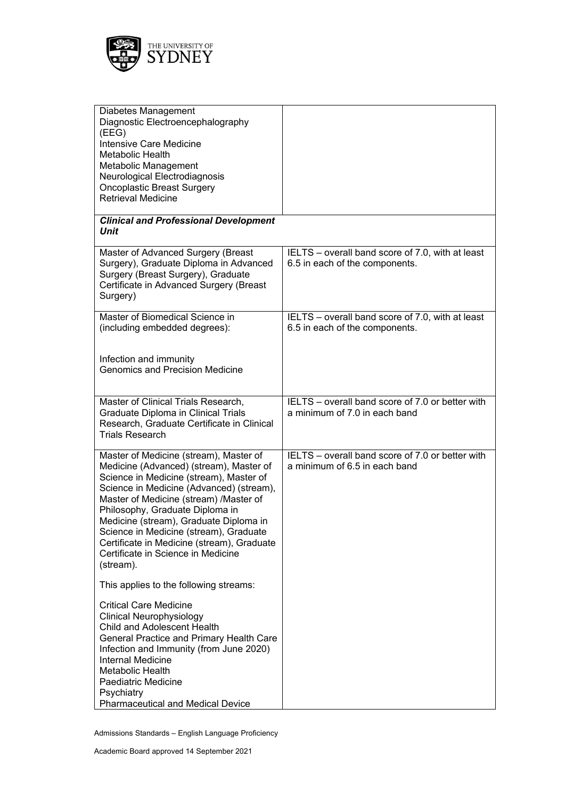

| Diabetes Management<br>Diagnostic Electroencephalography<br>(EEG)<br>Intensive Care Medicine<br>Metabolic Health<br>Metabolic Management<br>Neurological Electrodiagnosis<br><b>Oncoplastic Breast Surgery</b><br><b>Retrieval Medicine</b>                                                                                                                                                                                                |                                                                                    |
|--------------------------------------------------------------------------------------------------------------------------------------------------------------------------------------------------------------------------------------------------------------------------------------------------------------------------------------------------------------------------------------------------------------------------------------------|------------------------------------------------------------------------------------|
| <b>Clinical and Professional Development</b><br>Unit                                                                                                                                                                                                                                                                                                                                                                                       |                                                                                    |
| Master of Advanced Surgery (Breast<br>Surgery), Graduate Diploma in Advanced<br>Surgery (Breast Surgery), Graduate<br>Certificate in Advanced Surgery (Breast<br>Surgery)                                                                                                                                                                                                                                                                  | IELTS - overall band score of 7.0, with at least<br>6.5 in each of the components. |
| Master of Biomedical Science in<br>(including embedded degrees):                                                                                                                                                                                                                                                                                                                                                                           | IELTS - overall band score of 7.0, with at least<br>6.5 in each of the components. |
| Infection and immunity<br><b>Genomics and Precision Medicine</b>                                                                                                                                                                                                                                                                                                                                                                           |                                                                                    |
| Master of Clinical Trials Research,<br>Graduate Diploma in Clinical Trials<br>Research, Graduate Certificate in Clinical<br><b>Trials Research</b>                                                                                                                                                                                                                                                                                         | IELTS – overall band score of 7.0 or better with<br>a minimum of 7.0 in each band  |
| Master of Medicine (stream), Master of<br>Medicine (Advanced) (stream), Master of<br>Science in Medicine (stream), Master of<br>Science in Medicine (Advanced) (stream),<br>Master of Medicine (stream) /Master of<br>Philosophy, Graduate Diploma in<br>Medicine (stream), Graduate Diploma in<br>Science in Medicine (stream), Graduate<br>Certificate in Medicine (stream), Graduate<br>Certificate in Science in Medicine<br>(stream). | IELTS - overall band score of 7.0 or better with<br>a minimum of 6.5 in each band  |
| This applies to the following streams:                                                                                                                                                                                                                                                                                                                                                                                                     |                                                                                    |
| <b>Critical Care Medicine</b><br><b>Clinical Neurophysiology</b><br><b>Child and Adolescent Health</b><br>General Practice and Primary Health Care<br>Infection and Immunity (from June 2020)<br>Internal Medicine<br>Metabolic Health<br>Paediatric Medicine<br>Psychiatry<br><b>Pharmaceutical and Medical Device</b>                                                                                                                    |                                                                                    |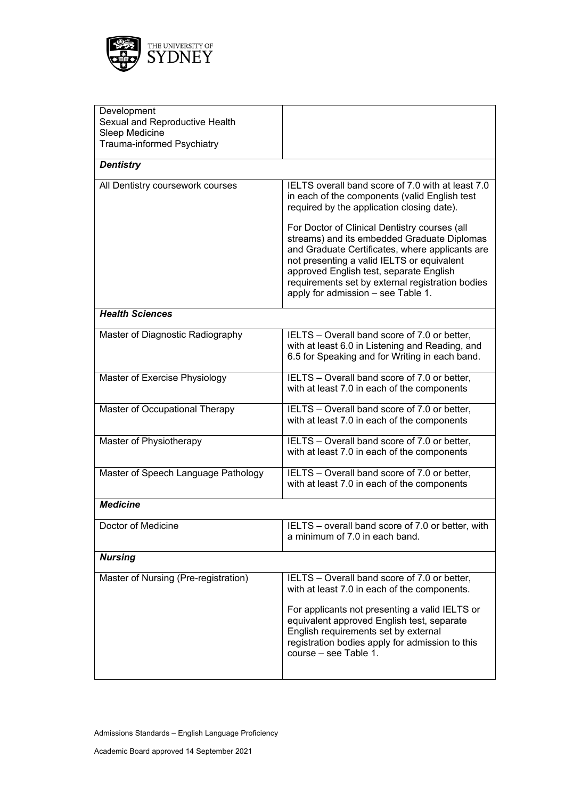

| Development<br>Sexual and Reproductive Health<br>Sleep Medicine |                                                                                                                                                                                                                                                                                                                                    |
|-----------------------------------------------------------------|------------------------------------------------------------------------------------------------------------------------------------------------------------------------------------------------------------------------------------------------------------------------------------------------------------------------------------|
| Trauma-informed Psychiatry                                      |                                                                                                                                                                                                                                                                                                                                    |
| <b>Dentistry</b>                                                |                                                                                                                                                                                                                                                                                                                                    |
| All Dentistry coursework courses                                | IELTS overall band score of 7.0 with at least 7.0<br>in each of the components (valid English test<br>required by the application closing date).                                                                                                                                                                                   |
|                                                                 | For Doctor of Clinical Dentistry courses (all<br>streams) and its embedded Graduate Diplomas<br>and Graduate Certificates, where applicants are<br>not presenting a valid IELTS or equivalent<br>approved English test, separate English<br>requirements set by external registration bodies<br>apply for admission - see Table 1. |
| <b>Health Sciences</b>                                          |                                                                                                                                                                                                                                                                                                                                    |
| Master of Diagnostic Radiography                                | IELTS - Overall band score of 7.0 or better,<br>with at least 6.0 in Listening and Reading, and<br>6.5 for Speaking and for Writing in each band.                                                                                                                                                                                  |
| Master of Exercise Physiology                                   | IELTS - Overall band score of 7.0 or better,<br>with at least 7.0 in each of the components                                                                                                                                                                                                                                        |
| Master of Occupational Therapy                                  | IELTS - Overall band score of 7.0 or better,<br>with at least 7.0 in each of the components                                                                                                                                                                                                                                        |
| Master of Physiotherapy                                         | IELTS - Overall band score of 7.0 or better,<br>with at least 7.0 in each of the components                                                                                                                                                                                                                                        |
| Master of Speech Language Pathology                             | IELTS - Overall band score of 7.0 or better,<br>with at least 7.0 in each of the components                                                                                                                                                                                                                                        |
| <b>Medicine</b>                                                 |                                                                                                                                                                                                                                                                                                                                    |
| Doctor of Medicine                                              | IELTS - overall band score of 7.0 or better, with<br>a minimum of 7.0 in each band.                                                                                                                                                                                                                                                |
| <b>Nursing</b>                                                  |                                                                                                                                                                                                                                                                                                                                    |
| Master of Nursing (Pre-registration)                            | IELTS - Overall band score of 7.0 or better,<br>with at least 7.0 in each of the components.                                                                                                                                                                                                                                       |
|                                                                 | For applicants not presenting a valid IELTS or<br>equivalent approved English test, separate<br>English requirements set by external<br>registration bodies apply for admission to this<br>course – see Table 1.                                                                                                                   |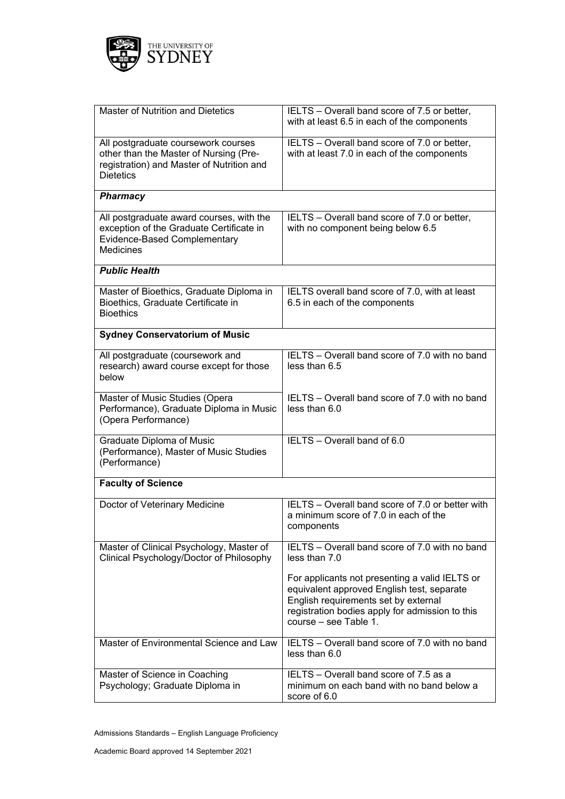

| Master of Nutrition and Dietetics                                                                                                              | IELTS - Overall band score of 7.5 or better,<br>with at least 6.5 in each of the components                                                                                                                      |
|------------------------------------------------------------------------------------------------------------------------------------------------|------------------------------------------------------------------------------------------------------------------------------------------------------------------------------------------------------------------|
| All postgraduate coursework courses<br>other than the Master of Nursing (Pre-<br>registration) and Master of Nutrition and<br><b>Dietetics</b> | IELTS - Overall band score of 7.0 or better,<br>with at least 7.0 in each of the components                                                                                                                      |
| <b>Pharmacy</b>                                                                                                                                |                                                                                                                                                                                                                  |
| All postgraduate award courses, with the<br>exception of the Graduate Certificate in<br>Evidence-Based Complementary<br><b>Medicines</b>       | IELTS – Overall band score of 7.0 or better,<br>with no component being below 6.5                                                                                                                                |
| <b>Public Health</b>                                                                                                                           |                                                                                                                                                                                                                  |
| Master of Bioethics, Graduate Diploma in<br>Bioethics, Graduate Certificate in<br><b>Bioethics</b>                                             | IELTS overall band score of 7.0, with at least<br>6.5 in each of the components                                                                                                                                  |
| <b>Sydney Conservatorium of Music</b>                                                                                                          |                                                                                                                                                                                                                  |
| All postgraduate (coursework and<br>research) award course except for those<br>below                                                           | IELTS - Overall band score of 7.0 with no band<br>less than 6.5                                                                                                                                                  |
| Master of Music Studies (Opera<br>Performance), Graduate Diploma in Music<br>(Opera Performance)                                               | IELTS – Overall band score of 7.0 with no band<br>less than 6.0                                                                                                                                                  |
| Graduate Diploma of Music<br>(Performance), Master of Music Studies<br>(Performance)                                                           | IELTS - Overall band of 6.0                                                                                                                                                                                      |
| <b>Faculty of Science</b>                                                                                                                      |                                                                                                                                                                                                                  |
| Doctor of Veterinary Medicine                                                                                                                  | IELTS - Overall band score of 7.0 or better with<br>a minimum score of 7.0 in each of the<br>components                                                                                                          |
| Master of Clinical Psychology, Master of<br>Clinical Psychology/Doctor of Philosophy                                                           | IELTS - Overall band score of 7.0 with no band<br>less than 7.0                                                                                                                                                  |
|                                                                                                                                                | For applicants not presenting a valid IELTS or<br>equivalent approved English test, separate<br>English requirements set by external<br>registration bodies apply for admission to this<br>course - see Table 1. |
| Master of Environmental Science and Law                                                                                                        | IELTS - Overall band score of 7.0 with no band<br>less than 6.0                                                                                                                                                  |
| Master of Science in Coaching<br>Psychology; Graduate Diploma in                                                                               | IELTS - Overall band score of 7.5 as a<br>minimum on each band with no band below a<br>score of 6.0                                                                                                              |